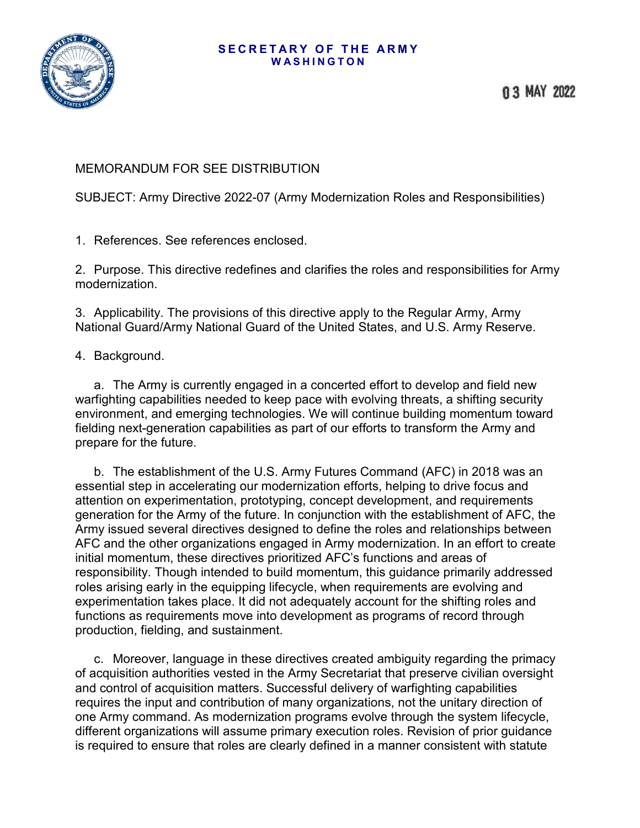## **SECRETARY OF THE ARMY WASHINGTON**



## MEMORANDUM FOR SEE DISTRIBUTION

SUBJECT: Army Directive 2022-07 (Army Modernization Roles and Responsibilities)

1. References. See references enclosed.

2. Purpose. This directive redefines and clarifies the roles and responsibilities for Army modernization.

3. Applicability. The provisions of this directive apply to the Regular Army, Army National Guard/Army National Guard of the United States, and U.S. Army Reserve.

4. Background.

a. The Army is currently engaged in a concerted effort to develop and field new warfighting capabilities needed to keep pace with evolving threats, a shifting security environment, and emerging technologies. We will continue building momentum toward fielding next-generation capabilities as part of our efforts to transform the Army and prepare for the future.

b. The establishment of the U.S. Army Futures Command (AFC) in 2018 was an essential step in accelerating our modernization efforts, helping to drive focus and attention on experimentation, prototyping, concept development, and requirements generation for the Army of the future. In conjunction with the establishment of AFC, the Army issued several directives designed to define the roles and relationships between AFC and the other organizations engaged in Army modernization. In an effort to create initial momentum, these directives prioritized AFC's functions and areas of responsibility. Though intended to build momentum, this guidance primarily addressed roles arising early in the equipping lifecycle, when requirements are evolving and experimentation takes place. It did not adequately account for the shifting roles and functions as requirements move into development as programs of record through production, fielding, and sustainment.

c. Moreover, language in these directives created ambiguity regarding the primacy of acquisition authorities vested in the Army Secretariat that preserve civilian oversight and control of acquisition matters. Successful delivery of warfighting capabilities requires the input and contribution of many organizations, not the unitary direction of one Army command. As modernization programs evolve through the system lifecycle, different organizations will assume primary execution roles. Revision of prior guidance is required to ensure that roles are clearly defined in a manner consistent with statute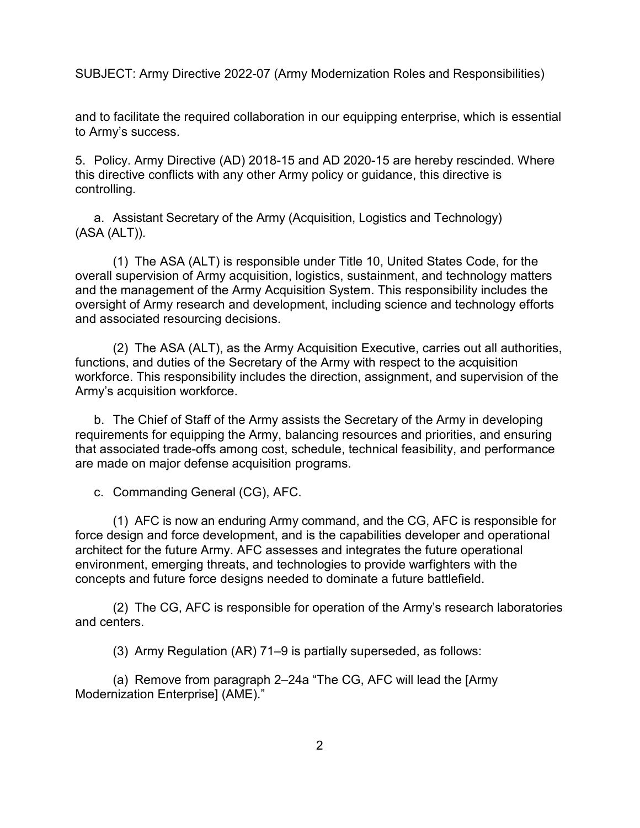and to facilitate the required collaboration in our equipping enterprise, which is essential to Army's success.

5. Policy. Army Directive (AD) 2018-15 and AD 2020-15 are hereby rescinded. Where this directive conflicts with any other Army policy or guidance, this directive is controlling.

a. Assistant Secretary of the Army (Acquisition, Logistics and Technology) (ASA (ALT)).

(1) The ASA (ALT) is responsible under Title 10, United States Code, for the overall supervision of Army acquisition, logistics, sustainment, and technology matters and the management of the Army Acquisition System. This responsibility includes the oversight of Army research and development, including science and technology efforts and associated resourcing decisions.

(2) The ASA (ALT), as the Army Acquisition Executive, carries out all authorities, functions, and duties of the Secretary of the Army with respect to the acquisition workforce. This responsibility includes the direction, assignment, and supervision of the Army's acquisition workforce.

b. The Chief of Staff of the Army assists the Secretary of the Army in developing requirements for equipping the Army, balancing resources and priorities, and ensuring that associated trade-offs among cost, schedule, technical feasibility, and performance are made on major defense acquisition programs.

c. Commanding General (CG), AFC.

(1) AFC is now an enduring Army command, and the CG, AFC is responsible for force design and force development, and is the capabilities developer and operational architect for the future Army. AFC assesses and integrates the future operational environment, emerging threats, and technologies to provide warfighters with the concepts and future force designs needed to dominate a future battlefield.

(2) The CG, AFC is responsible for operation of the Army's research laboratories and centers.

(3) Army Regulation (AR) 71–9 is partially superseded, as follows:

(a) Remove from paragraph 2–24a "The CG, AFC will lead the [Army Modernization Enterprise] (AME)."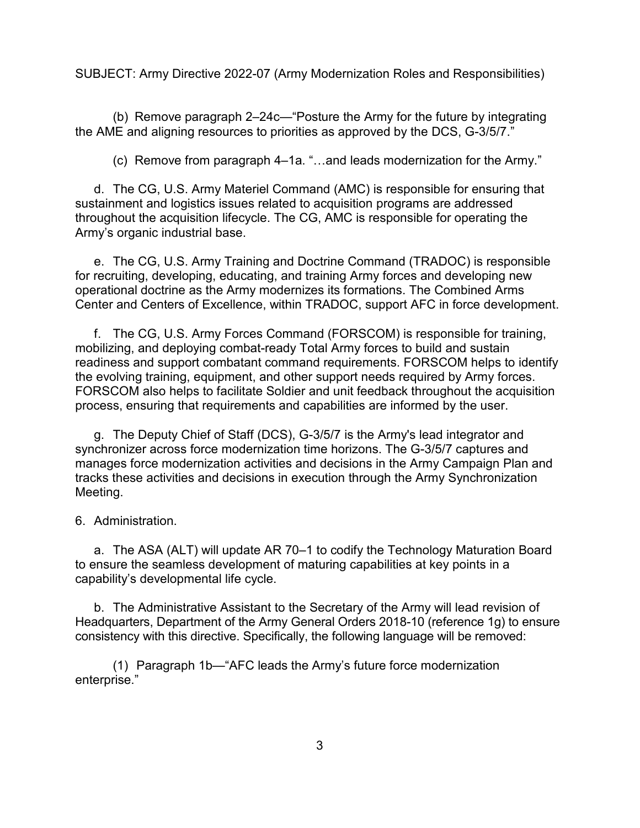(b) Remove paragraph 2–24c—"Posture the Army for the future by integrating the AME and aligning resources to priorities as approved by the DCS, G-3/5/7."

(c) Remove from paragraph 4–1a. "…and leads modernization for the Army."

d. The CG, U.S. Army Materiel Command (AMC) is responsible for ensuring that sustainment and logistics issues related to acquisition programs are addressed throughout the acquisition lifecycle. The CG, AMC is responsible for operating the Army's organic industrial base.

e. The CG, U.S. Army Training and Doctrine Command (TRADOC) is responsible for recruiting, developing, educating, and training Army forces and developing new operational doctrine as the Army modernizes its formations. The Combined Arms Center and Centers of Excellence, within TRADOC, support AFC in force development.

f. The CG, U.S. Army Forces Command (FORSCOM) is responsible for training, mobilizing, and deploying combat-ready Total Army forces to build and sustain readiness and support combatant command requirements. FORSCOM helps to identify the evolving training, equipment, and other support needs required by Army forces. FORSCOM also helps to facilitate Soldier and unit feedback throughout the acquisition process, ensuring that requirements and capabilities are informed by the user.

g. The Deputy Chief of Staff (DCS), G-3/5/7 is the Army's lead integrator and synchronizer across force modernization time horizons. The G-3/5/7 captures and manages force modernization activities and decisions in the Army Campaign Plan and tracks these activities and decisions in execution through the Army Synchronization Meeting.

6. Administration.

a. The ASA (ALT) will update AR 70–1 to codify the Technology Maturation Board to ensure the seamless development of maturing capabilities at key points in a capability's developmental life cycle.

b. The Administrative Assistant to the Secretary of the Army will lead revision of Headquarters, Department of the Army General Orders 2018-10 (reference 1g) to ensure consistency with this directive. Specifically, the following language will be removed:

(1) Paragraph 1b—"AFC leads the Army's future force modernization enterprise."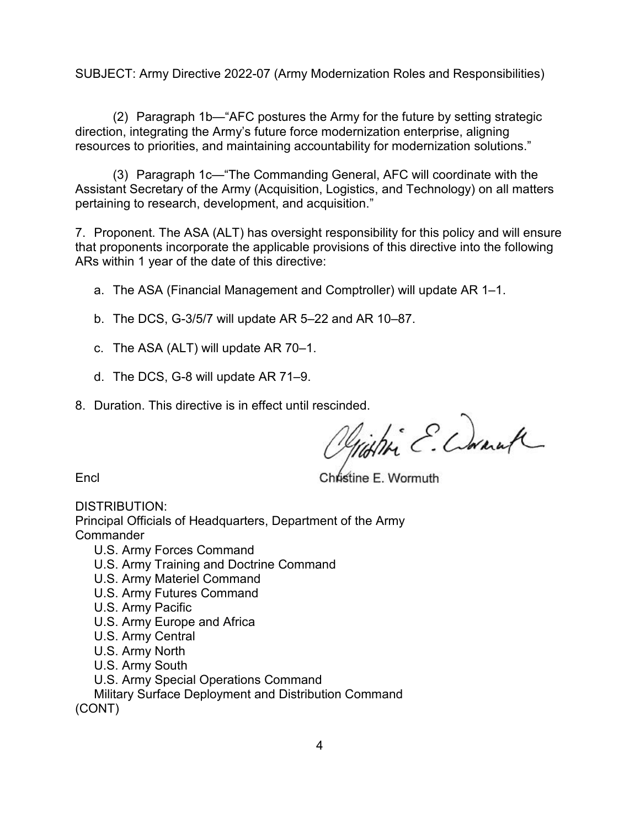(2) Paragraph 1b—"AFC postures the Army for the future by setting strategic direction, integrating the Army's future force modernization enterprise, aligning resources to priorities, and maintaining accountability for modernization solutions."

(3) Paragraph 1c—"The Commanding General, AFC will coordinate with the Assistant Secretary of the Army (Acquisition, Logistics, and Technology) on all matters pertaining to research, development, and acquisition."

7. Proponent. The ASA (ALT) has oversight responsibility for this policy and will ensure that proponents incorporate the applicable provisions of this directive into the following ARs within 1 year of the date of this directive:

- a. The ASA (Financial Management and Comptroller) will update AR 1–1.
- b. The DCS, G-3/5/7 will update AR 5–22 and AR 10–87.
- c. The ASA (ALT) will update AR 70–1.
- d. The DCS, G-8 will update AR 71–9.
- 

8. Duration. This directive is in effect until rescinded.<br>Michlie C. Connuf

Encl Christine E. Wormuth

DISTRIBUTION:

Principal Officials of Headquarters, Department of the Army **Commander** 

- U.S. Army Forces Command
- U.S. Army Training and Doctrine Command
- U.S. Army Materiel Command
- U.S. Army Futures Command
- U.S. Army Pacific
- U.S. Army Europe and Africa
- U.S. Army Central
- U.S. Army North
- U.S. Army South
- U.S. Army Special Operations Command

Military Surface Deployment and Distribution Command (CONT)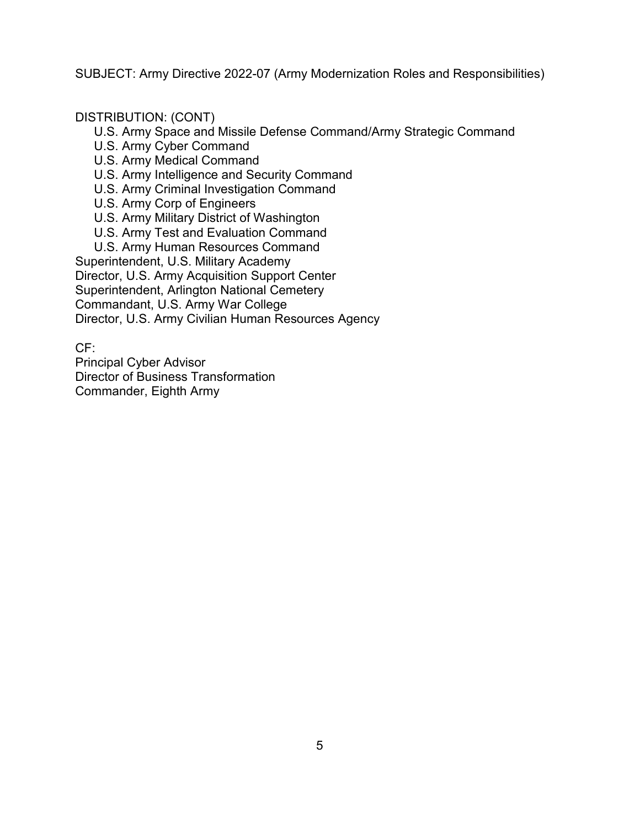## DISTRIBUTION: (CONT)

U.S. Army Space and Missile Defense Command/Army Strategic Command

- U.S. Army Cyber Command
- U.S. Army Medical Command
- U.S. Army Intelligence and Security Command
- U.S. Army Criminal Investigation Command
- U.S. Army Corp of Engineers
- U.S. Army Military District of Washington
- U.S. Army Test and Evaluation Command
- U.S. Army Human Resources Command

Superintendent, U.S. Military Academy Director, U.S. Army Acquisition Support Center Superintendent, Arlington National Cemetery Commandant, U.S. Army War College Director, U.S. Army Civilian Human Resources Agency

CF:

Principal Cyber Advisor Director of Business Transformation Commander, Eighth Army